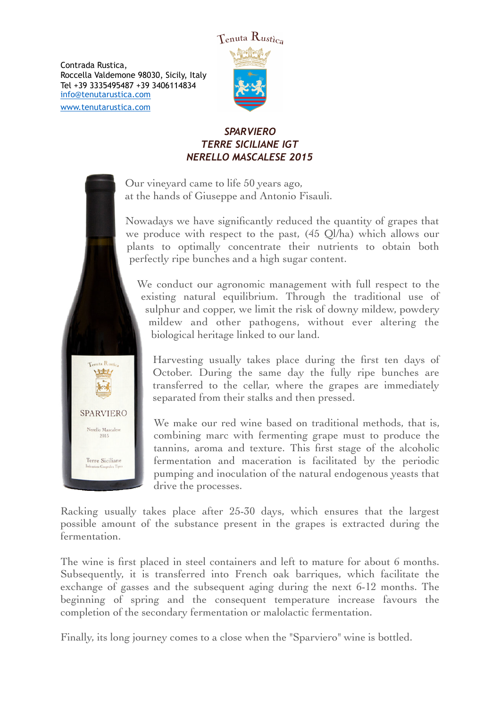Contrada Rustica, Roccella Valdemone 98030, Sicily, Italy Tel +39 3335495487 +39 3406114834 [info@tenutarustica.com](mailto:info@tenutarustica.com) [www.tenutarustica.com](http://www.tenutarustica.com)



# *SPARVIERO TERRE SICILIANE IGT NERELLO MASCALESE 2015*

Our vineyard came to life 50 years ago, at the hands of Giuseppe and Antonio Fisauli.

Nowadays we have significantly reduced the quantity of grapes that we produce with respect to the past, (45 Ql/ha) which allows our plants to optimally concentrate their nutrients to obtain both perfectly ripe bunches and a high sugar content.

We conduct our agronomic management with full respect to the existing natural equilibrium. Through the traditional use of sulphur and copper, we limit the risk of downy mildew, powdery mildew and other pathogens, without ever altering the biological heritage linked to our land.

Harvesting usually takes place during the first ten days of October. During the same day the fully ripe bunches are transferred to the cellar, where the grapes are immediately separated from their stalks and then pressed.

We make our red wine based on traditional methods, that is, combining marc with fermenting grape must to produce the tannins, aroma and texture. This first stage of the alcoholic fermentation and maceration is facilitated by the periodic pumping and inoculation of the natural endogenous yeasts that drive the processes.

Racking usually takes place after 25-30 days, which ensures that the largest possible amount of the substance present in the grapes is extracted during the fermentation.

The wine is first placed in steel containers and left to mature for about 6 months. Subsequently, it is transferred into French oak barriques, which facilitate the exchange of gasses and the subsequent aging during the next 6-12 months. The beginning of spring and the consequent temperature increase favours the completion of the secondary fermentation or malolactic fermentation.

Finally, its long journey comes to a close when the "Sparviero" wine is bottled.